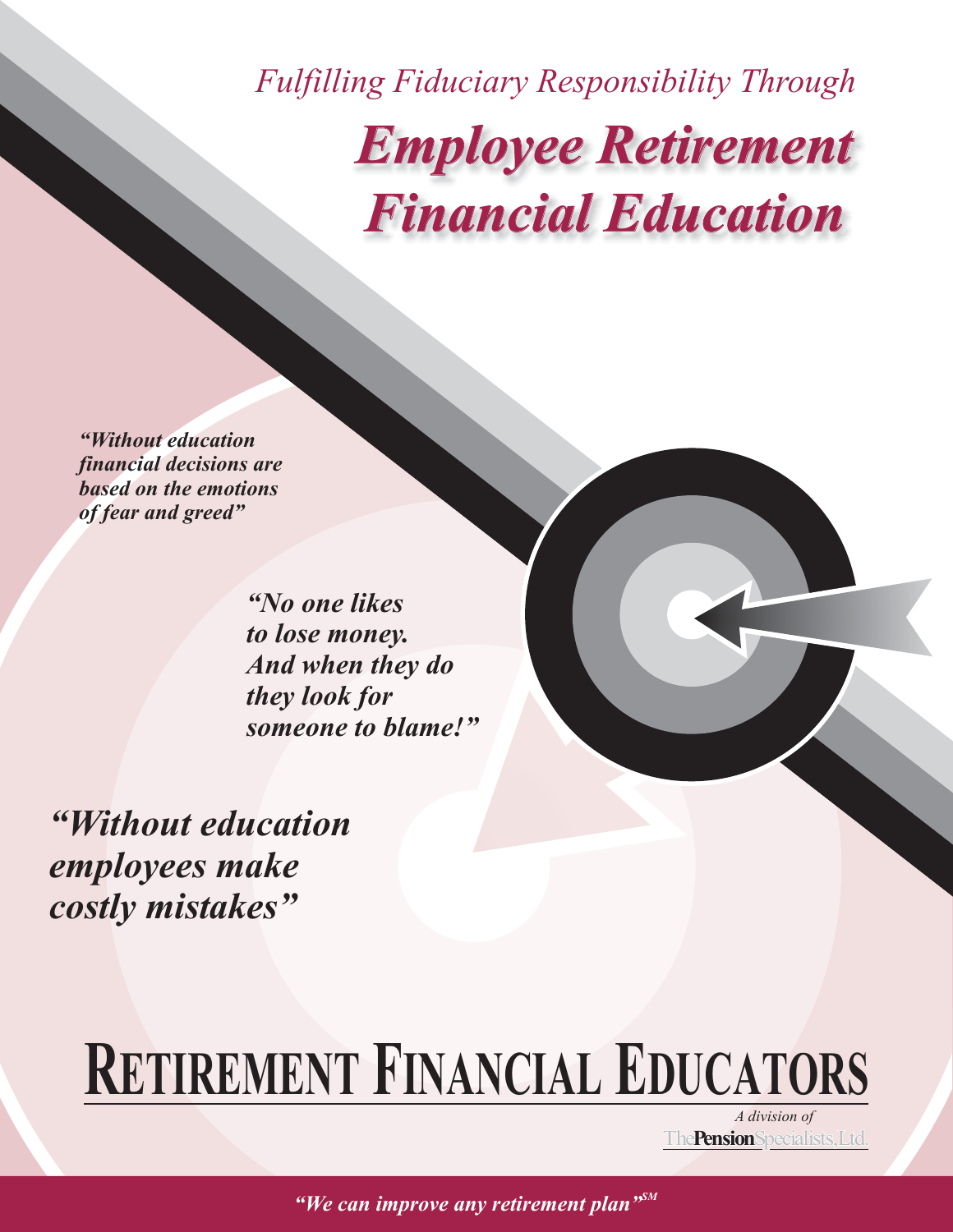*Fulfilling Fiduciary Responsibility Through Employee Retirement Financial Education*

*"Without education financial decisions are based on the emotions of fear and greed"*

> *"No one likes to lose money. And when they do they look for someone to blame!"*

*"Without education employees make costly mistakes"*

# **RETIREMENT FINANCIAL EDUCATORS**

*A division of* The **Pension** Specialists, Ltd.

*"We can improve any retirement plan"SM*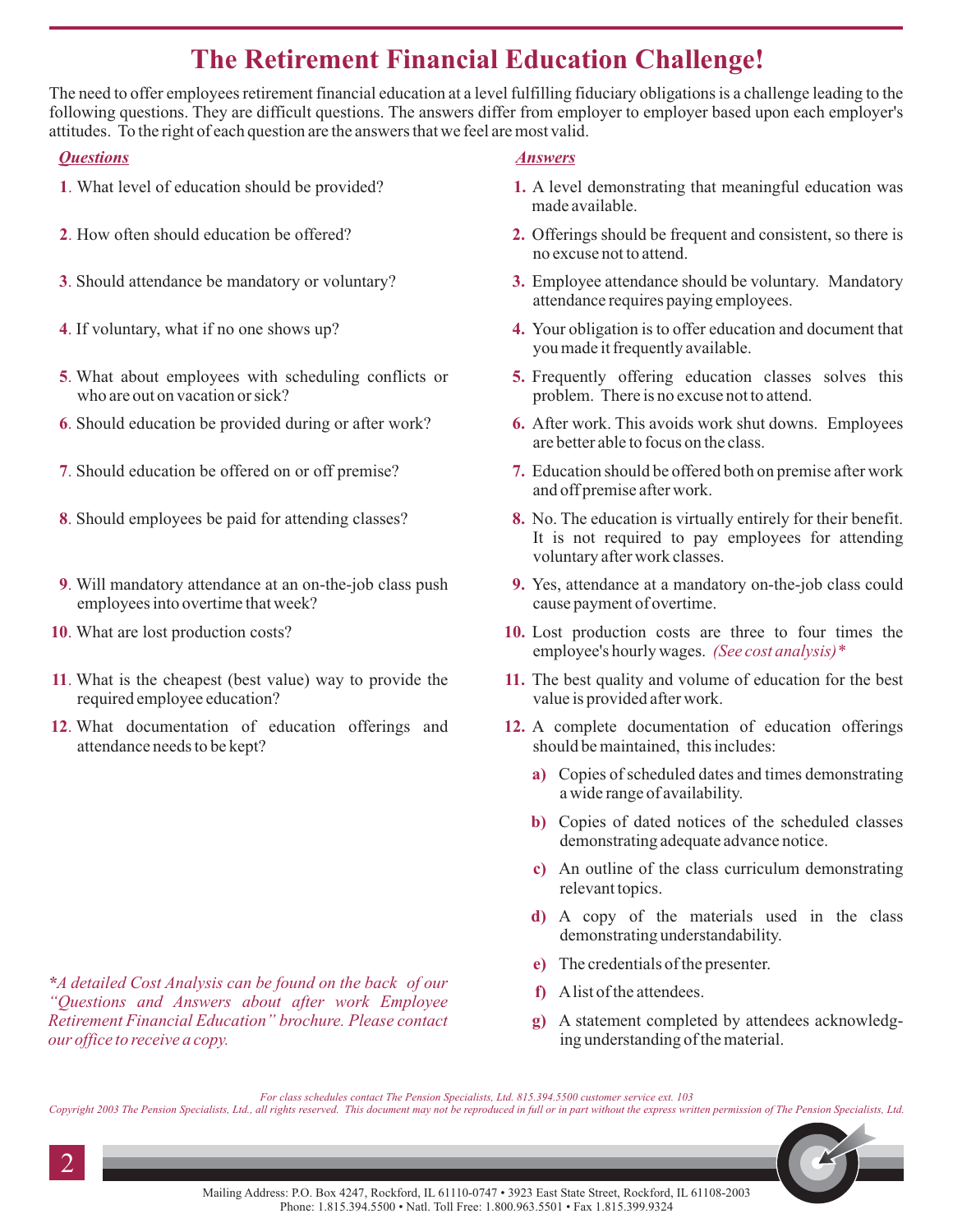### **The Retirement Financial Education Challenge!**

The need to offer employees retirement financial education at a level fulfilling fiduciary obligations is a challenge leading to the following questions. They are difficult questions. The answers differ from employer to employer based upon each employer's attitudes. To the right of each question are the answers that we feel are most valid.

#### *Questions Answers*

- . **1** What level of education should be provided?
- . **2** How often should education be offered?
- . **3** Should attendance be mandatory or voluntary?
- . **4** If voluntary, what if no one shows up?
- . **5** What about employees with scheduling conflicts or who are out on vacation or sick?
- . **6** Should education be provided during or after work?
- . **7** Should education be offered on or off premise?
- . **8** Should employees be paid for attending classes?
- . **9** Will mandatory attendance at an on-the-job class push employees into overtime that week?
- 10. What are lost production costs?
- . **11** What is the cheapest (best value) way to provide the required employee education?
- 12. What documentation of education offerings and attendance needs to be kept?

*\*A detailed Cost Analysis can be found on the back of our "Questions and Answers about after work Employee Retirement Financial Education" brochure. Please contact our office to receive a copy.*

- A level demonstrating that meaningful education was **1.** made available.
- 2. Offerings should be frequent and consistent, so there is no excuse not to attend.
- Employee attendance should be voluntary. Mandatory **3.** attendance requires paying employees.
- Your obligation is to offer education and document that **4.** you made it frequently available.
- **5.** Frequently offering education classes solves this problem. There is no excuse not to attend.
- After work. This avoids work shut downs. Employees **6.** are better able to focus on the class.
- Education should be offered both on premise after work **7.** and off premise after work.
- No. The education is virtually entirely for their benefit. **8.** It is not required to pay employees for attending voluntary after work classes.
- Yes, attendance at a mandatory on-the-job class could **9.** cause payment of overtime.
- 10. Lost production costs are three to four times the employee's hourly wages. *(See cost analysis)\**
- 11. The best quality and volume of education for the best value is provided after work.
- 12. A complete documentation of education offerings should be maintained, this includes:
	- Copies of scheduled dates and times demonstrating **a)** a wide range of availability.
	- b) Copies of dated notices of the scheduled classes demonstrating adequate advance notice.
	- An outline of the class curriculum demonstrating **c)** relevant topics.
	- A copy of the materials used in the class **d)** demonstrating understandability.
	- The credentials of the presenter. **e)**
	- Alist of the attendees. **f)**
	- A statement completed by attendees acknowledg-**g)** ing understanding of the material.

Copyright 2003 The Pension Specialists, Ltd., all rights reserved. This document may not be reproduced in full or in part without the express written permission of The Pension Specialists, Ltd.



*For class schedules contact The Pension Specialists, Ltd. 815.394.5500 customer service ext. 103*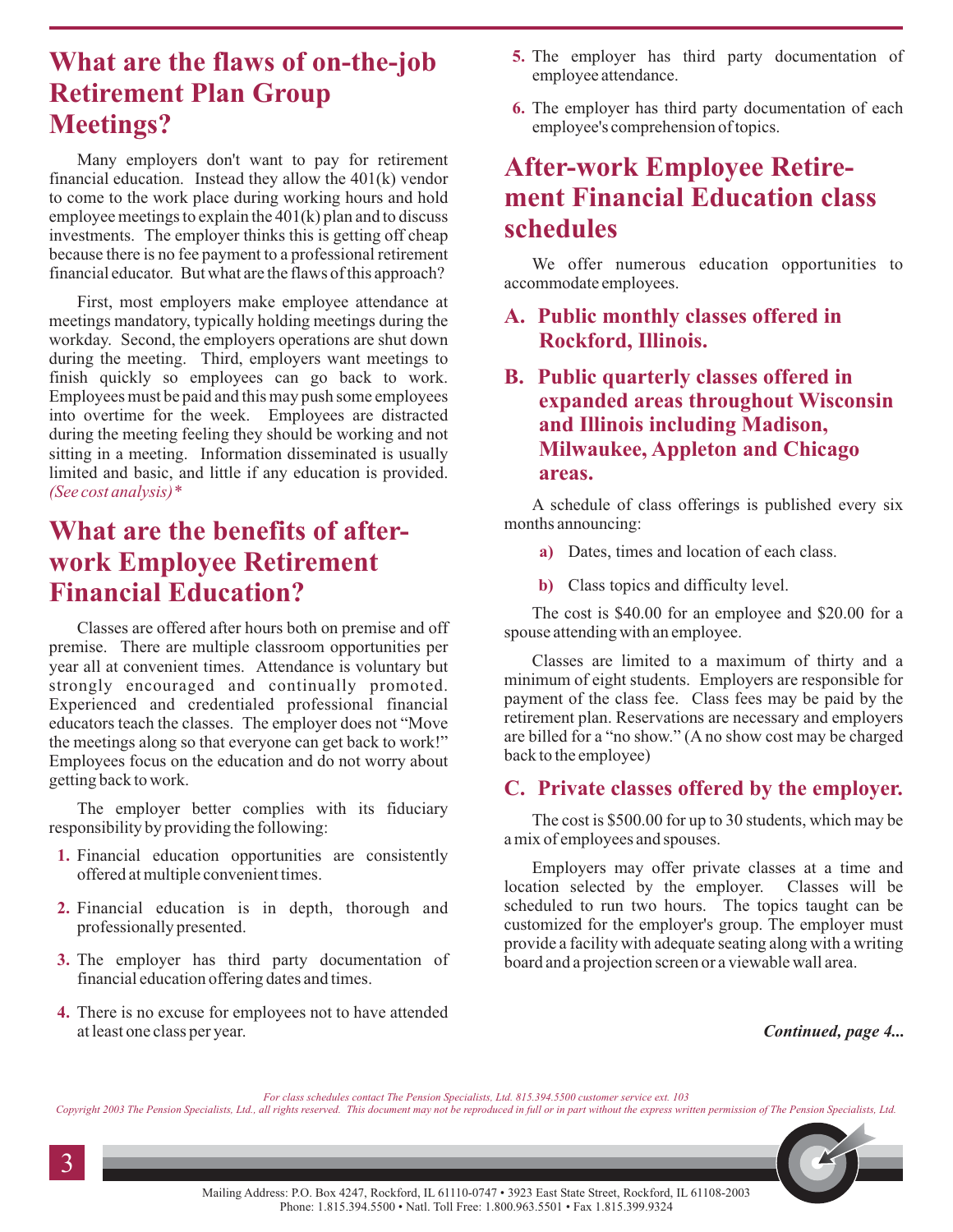### **What are the flaws of on-the-job Retirement Plan Group Meetings?**

Many employers don't want to pay for retirement financial education. Instead they allow the 401(k) vendor to come to the work place during working hours and hold employee meetings to explain the 401(k) plan and to discuss investments. The employer thinks this is getting off cheap because there is no fee payment to a professional retirement financial educator. But what are the flaws of this approach?

*(See cost analysis)\** First, most employers make employee attendance at meetings mandatory, typically holding meetings during the workday. Second, the employers operations are shut down during the meeting. Third, employers want meetings to finish quickly so employees can go back to work. Employees must be paid and this may push some employees into overtime for the week. Employees are distracted during the meeting feeling they should be working and not sitting in a meeting. Information disseminated is usually limited and basic, and little if any education is provided.

### **What are the benefits of afterwork Employee Retirement Financial Education?**

Classes are offered after hours both on premise and off premise. There are multiple classroom opportunities per year all at convenient times. Attendance is voluntary but strongly encouraged and continually promoted. Experienced and credentialed professional financial educators teach the classes. The employer does not "Move the meetings along so that everyone can get back to work!" Employees focus on the education and do not worry about getting back to work.

The employer better complies with its fiduciary responsibility by providing the following:

- **1.** Financial education opportunities are consistently offered at multiple convenient times.
- **2.** Financial education is in depth, thorough and professionally presented.
- **3.** The employer has third party documentation of financial education offering dates and times.
- **4.** There is no excuse for employees not to have attended at least one class per year.
- **5.** The employer has third party documentation of employee attendance.
- **6.** The employer has third party documentation of each employee's comprehension of topics.

### **After-work Employee Retirement Financial Education class schedules**

We offer numerous education opportunities to accommodate employees.

#### **A. Public monthly classes offered in Rockford, Illinois.**

#### **B. Public quarterly classes offered in expanded areas throughout Wisconsin and Illinois including Madison, Milwaukee, Appleton and Chicago areas.**

A schedule of class offerings is published every six months announcing:

- **a)** Dates, times and location of each class.
- **b)** Class topics and difficulty level.

The cost is \$40.00 for an employee and \$20.00 for a spouse attending with an employee.

Classes are limited to a maximum of thirty and a minimum of eight students. Employers are responsible for payment of the class fee. Class fees may be paid by the retirement plan. Reservations are necessary and employers are billed for a "no show." (A no show cost may be charged back to the employee)

#### **C. Private classes offered by the employer.**

The cost is \$500.00 for up to 30 students, which may be a mix of employees and spouses.

Employers may offer private classes at a time and location selected by the employer. Classes will be scheduled to run two hours. The topics taught can be customized for the employer's group. The employer must provide a facility with adequate seating along with a writing board and a projection screen or a viewable wall area.

*Continued, page 4...*

*For class schedules contact The Pension Specialists, Ltd. 815.394.5500 customer service ext. 103*

Copyright 2003 The Pension Specialists, Ltd., all rights reserved. This document may not be reproduced in full or in part without the express written permission of The Pension Specialists, Ltd.